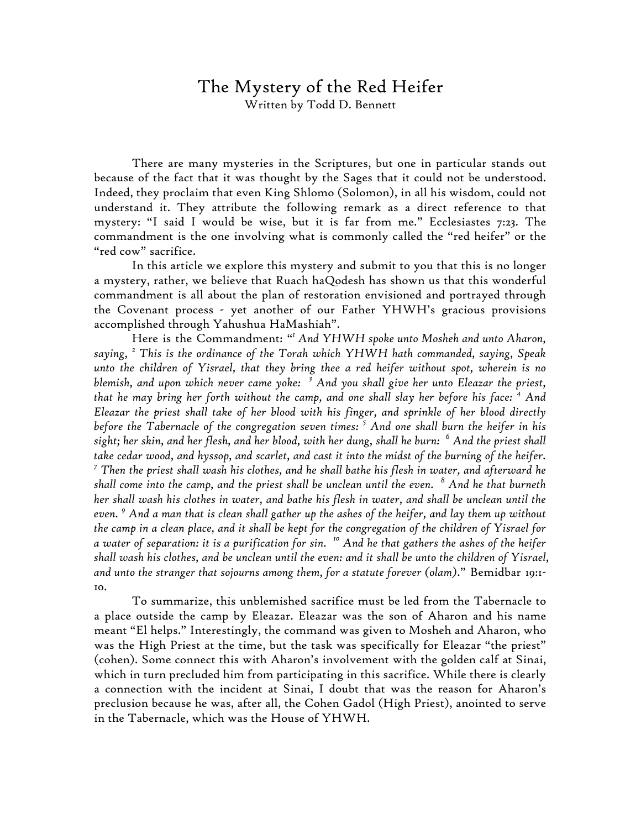## The Mystery of the Red Heifer

Written by Todd D. Bennett

There are many mysteries in the Scriptures, but one in particular stands out because of the fact that it was thought by the Sages that it could not be understood. Indeed, they proclaim that even King Shlomo (Solomon), in all his wisdom, could not understand it. They attribute the following remark as a direct reference to that mystery: "I said I would be wise, but it is far from me." Ecclesiastes 7:23. The commandment is the one involving what is commonly called the "red heifer" or the "red cow" sacrifice.

In this article we explore this mystery and submit to you that this is no longer a mystery, rather, we believe that Ruach haQodesh has shown us that this wonderful commandment is all about the plan of restoration envisioned and portrayed through the Covenant process - yet another of our Father YHWH's gracious provisions accomplished through Yahushua HaMashiah".

Here is the Commandment: " *1 And YHWH spoke unto Mosheh and unto Aharon, saying, <sup>2</sup> This is the ordinance of the Torah which YHWH hath commanded, saying, Speak unto the children of Yisrael, that they bring thee a red heifer without spot, wherein is no blemish, and upon which never came yoke: <sup>3</sup> And you shall give her unto Eleazar the priest, that he may bring her forth without the camp, and one shall slay her before his face: <sup>4</sup> And Eleazar the priest shall take of her blood with his finger, and sprinkle of her blood directly before the Tabernacle of the congregation seven times: <sup>5</sup> And one shall burn the heifer in his sight; her skin, and her flesh, and her blood, with her dung, shall he burn: <sup>6</sup> And the priest shall take cedar wood, and hyssop, and scarlet, and cast it into the midst of the burning of the heifer. <sup>7</sup> Then the priest shall wash his clothes, and he shall bathe his flesh in water, and afterward he shall come into the camp, and the priest shall be unclean until the even. <sup>8</sup> And he that burneth her shall wash his clothes in water, and bathe his flesh in water, and shall be unclean until the even. <sup>9</sup> And a man that is clean shall gather up the ashes of the heifer, and lay them up without the camp in a clean place, and it shall be kept for the congregation of the children of Yisrael for a water of separation: it is a purification for sin. <sup>10</sup> And he that gathers the ashes of the heifer shall wash his clothes, and be unclean until the even: and it shall be unto the children of Yisrael, and unto the stranger that sojourns among them, for a statute forever (olam)*." Bemidbar 19:1- 10.

To summarize, this unblemished sacrifice must be led from the Tabernacle to a place outside the camp by Eleazar. Eleazar was the son of Aharon and his name meant "El helps." Interestingly, the command was given to Mosheh and Aharon, who was the High Priest at the time, but the task was specifically for Eleazar "the priest" (cohen). Some connect this with Aharon's involvement with the golden calf at Sinai, which in turn precluded him from participating in this sacrifice. While there is clearly a connection with the incident at Sinai, I doubt that was the reason for Aharon's preclusion because he was, after all, the Cohen Gadol (High Priest), anointed to serve in the Tabernacle, which was the House of YHWH.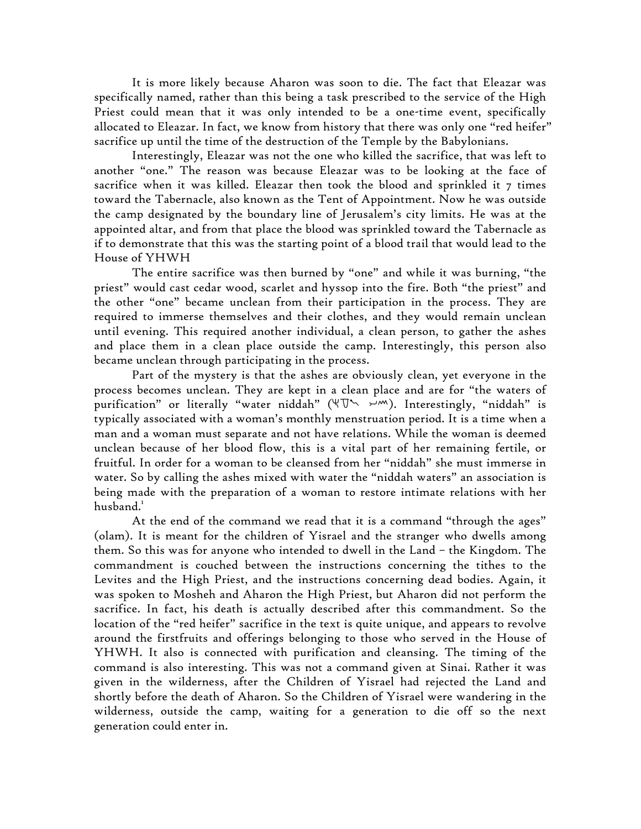It is more likely because Aharon was soon to die. The fact that Eleazar was specifically named, rather than this being a task prescribed to the service of the High Priest could mean that it was only intended to be a one-time event, specifically allocated to Eleazar. In fact, we know from history that there was only one "red heifer" sacrifice up until the time of the destruction of the Temple by the Babylonians.

Interestingly, Eleazar was not the one who killed the sacrifice, that was left to another "one." The reason was because Eleazar was to be looking at the face of sacrifice when it was killed. Eleazar then took the blood and sprinkled it 7 times toward the Tabernacle, also known as the Tent of Appointment. Now he was outside the camp designated by the boundary line of Jerusalem's city limits. He was at the appointed altar, and from that place the blood was sprinkled toward the Tabernacle as if to demonstrate that this was the starting point of a blood trail that would lead to the House of YHWH

The entire sacrifice was then burned by "one" and while it was burning, "the priest" would cast cedar wood, scarlet and hyssop into the fire. Both "the priest" and the other "one" became unclean from their participation in the process. They are required to immerse themselves and their clothes, and they would remain unclean until evening. This required another individual, a clean person, to gather the ashes and place them in a clean place outside the camp. Interestingly, this person also became unclean through participating in the process.

Part of the mystery is that the ashes are obviously clean, yet everyone in the process becomes unclean. They are kept in a clean place and are for "the waters of purification" or literally "water niddah" ( $\Psi$ Undram). Interestingly, "niddah" is typically associated with a woman's monthly menstruation period. It is a time when a man and a woman must separate and not have relations. While the woman is deemed unclean because of her blood flow, this is a vital part of her remaining fertile, or fruitful. In order for a woman to be cleansed from her "niddah" she must immerse in water. So by calling the ashes mixed with water the "niddah waters" an association is being made with the preparation of a woman to restore intimate relations with her  $hushand.<sup>1</sup>$ 

At the end of the command we read that it is a command "through the ages" (olam). It is meant for the children of Yisrael and the stranger who dwells among them. So this was for anyone who intended to dwell in the Land – the Kingdom. The commandment is couched between the instructions concerning the tithes to the Levites and the High Priest, and the instructions concerning dead bodies. Again, it was spoken to Mosheh and Aharon the High Priest, but Aharon did not perform the sacrifice. In fact, his death is actually described after this commandment. So the location of the "red heifer" sacrifice in the text is quite unique, and appears to revolve around the firstfruits and offerings belonging to those who served in the House of YHWH. It also is connected with purification and cleansing. The timing of the command is also interesting. This was not a command given at Sinai. Rather it was given in the wilderness, after the Children of Yisrael had rejected the Land and shortly before the death of Aharon. So the Children of Yisrael were wandering in the wilderness, outside the camp, waiting for a generation to die off so the next generation could enter in.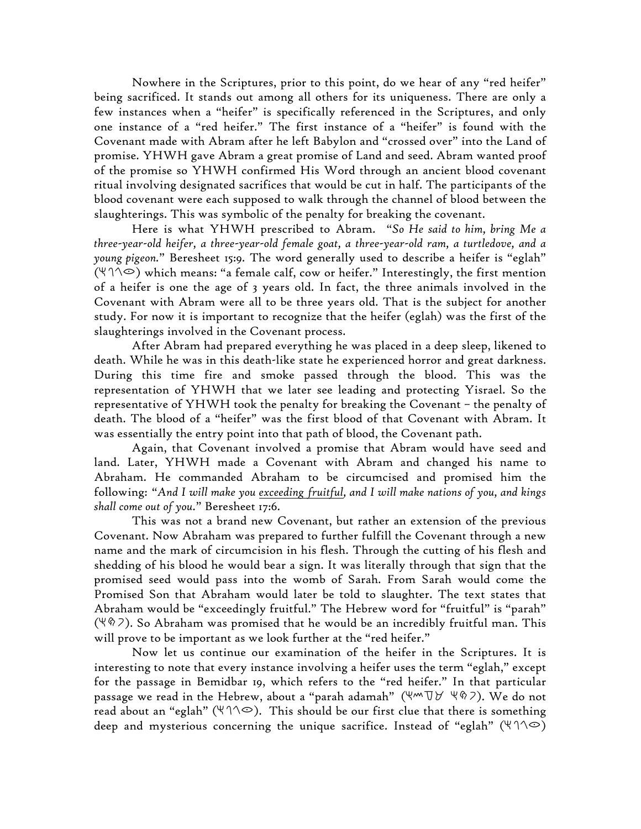Nowhere in the Scriptures, prior to this point, do we hear of any "red heifer" being sacrificed. It stands out among all others for its uniqueness. There are only a few instances when a "heifer" is specifically referenced in the Scriptures, and only one instance of a "red heifer." The first instance of a "heifer" is found with the Covenant made with Abram after he left Babylon and "crossed over" into the Land of promise. YHWH gave Abram a great promise of Land and seed. Abram wanted proof of the promise so YHWH confirmed His Word through an ancient blood covenant ritual involving designated sacrifices that would be cut in half. The participants of the blood covenant were each supposed to walk through the channel of blood between the slaughterings. This was symbolic of the penalty for breaking the covenant.

Here is what YHWH prescribed to Abram. "*So He said to him, bring Me a three-year-old heifer, a three-year-old female goat, a three-year-old ram, a turtledove, and a young pigeon.*" Beresheet 15:9. The word generally used to describe a heifer is "eglah"  $(\forall \land \heartsuit)$  which means: "a female calf, cow or heifer." Interestingly, the first mention of a heifer is one the age of 3 years old. In fact, the three animals involved in the Covenant with Abram were all to be three years old. That is the subject for another study. For now it is important to recognize that the heifer (eglah) was the first of the slaughterings involved in the Covenant process.

After Abram had prepared everything he was placed in a deep sleep, likened to death. While he was in this death-like state he experienced horror and great darkness. During this time fire and smoke passed through the blood. This was the representation of YHWH that we later see leading and protecting Yisrael. So the representative of YHWH took the penalty for breaking the Covenant – the penalty of death. The blood of a "heifer" was the first blood of that Covenant with Abram. It was essentially the entry point into that path of blood, the Covenant path.

Again, that Covenant involved a promise that Abram would have seed and land. Later, YHWH made a Covenant with Abram and changed his name to Abraham. He commanded Abraham to be circumcised and promised him the following: "*And I will make you exceeding fruitful, and I will make nations of you, and kings shall come out of you.*" Beresheet 17:6.

This was not a brand new Covenant, but rather an extension of the previous Covenant. Now Abraham was prepared to further fulfill the Covenant through a new name and the mark of circumcision in his flesh. Through the cutting of his flesh and shedding of his blood he would bear a sign. It was literally through that sign that the promised seed would pass into the womb of Sarah. From Sarah would come the Promised Son that Abraham would later be told to slaughter. The text states that Abraham would be "exceedingly fruitful." The Hebrew word for "fruitful" is "parah"  $(\forall \, \lozenge \, 2)$ . So Abraham was promised that he would be an incredibly fruitful man. This will prove to be important as we look further at the "red heifer."

Now let us continue our examination of the heifer in the Scriptures. It is interesting to note that every instance involving a heifer uses the term "eglah," except for the passage in Bemidbar 19, which refers to the "red heifer." In that particular passage we read in the Hebrew, about a "parah adamah"  $(\forall m \forall \forall \forall \forall s$ ). We do not read about an "eglah" ( $\forall \land\Diamond$ ). This should be our first clue that there is something deep and mysterious concerning the unique sacrifice. Instead of "eglah" ( $\P$  $\Diamond$  $\Diamond$ )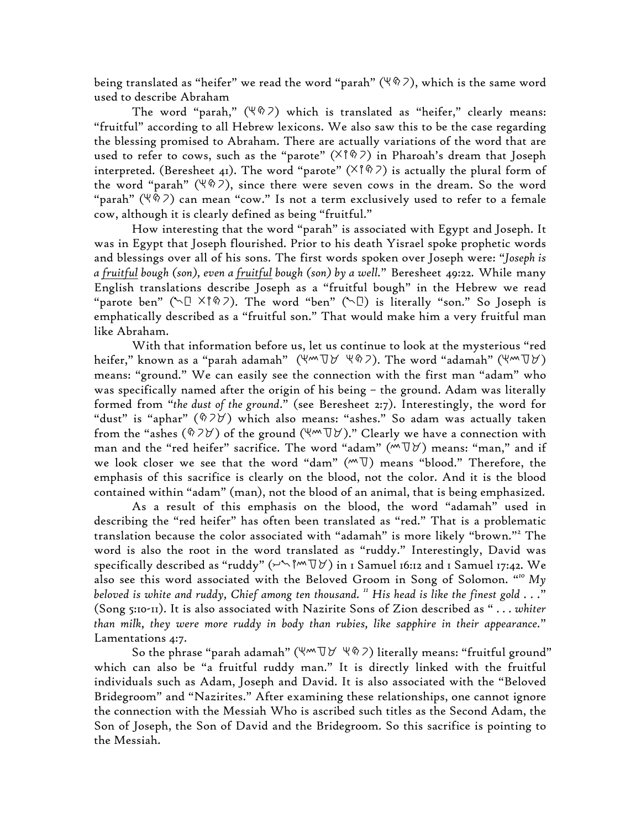being translated as "heifer" we read the word "parah" ( $\Psi \hat{\varphi}$ ), which is the same word used to describe Abraham

The word "parah,"  $(\forall \hat{p} \land \hat{p})$  which is translated as "heifer," clearly means: "fruitful" according to all Hebrew lexicons. We also saw this to be the case regarding the blessing promised to Abraham. There are actually variations of the word that are used to refer to cows, such as the "parote"  $(\times \uparrow \, \hat{\otimes} \, 7)$  in Pharoah's dream that Joseph interpreted. (Beresheet 41). The word "parote" ( $\times$ 1%) is actually the plural form of the word "parah" ( $\forall$   $\Diamond$  ), since there were seven cows in the dream. So the word "parah" ( $\Psi \hat{\varphi}$ ) can mean "cow." Is not a term exclusively used to refer to a female cow, although it is clearly defined as being "fruitful."

How interesting that the word "parah" is associated with Egypt and Joseph. It was in Egypt that Joseph flourished. Prior to his death Yisrael spoke prophetic words and blessings over all of his sons. The first words spoken over Joseph were: "*Joseph is a fruitful bough (son), even a fruitful bough (son) by a well.*" Beresheet 49:22. While many English translations describe Joseph as a "fruitful bough" in the Hebrew we read "parote ben" ( $\Box$   $\times$   $\degree$   $\Diamond$ ). The word "ben" ( $\Box$ ) is literally "son." So Joseph is emphatically described as a "fruitful son." That would make him a very fruitful man like Abraham.

With that information before us, let us continue to look at the mysterious "red heifer," known as a "parah adamah" (hmda hrp). The word "adamah" (hmda) means: "ground." We can easily see the connection with the first man "adam" who was specifically named after the origin of his being – the ground. Adam was literally formed from "*the dust of the ground*." (see Beresheet 2:7). Interestingly, the word for "dust" is "aphar"  $(\text{\%} \text{2V})$  which also means: "ashes." So adam was actually taken from the "ashes ( $\Diamond$ 7 $\forall$ ) of the ground ( $\Psi$ <sup>m</sup> $\Psi$ )." Clearly we have a connection with man and the "red heifer" sacrifice. The word "adam" ( $M\triangledown\forall$ ) means: "man," and if we look closer we see that the word "dam"  $(M\nabla)$  means "blood." Therefore, the emphasis of this sacrifice is clearly on the blood, not the color. And it is the blood contained within "adam" (man), not the blood of an animal, that is being emphasized.

As a result of this emphasis on the blood, the word "adamah" used in describing the "red heifer" has often been translated as "red." That is a problematic translation because the color associated with "adamah" is more likely "brown."<sup>2</sup> The word is also the root in the word translated as "ruddy." Interestingly, David was specifically described as "ruddy" (ynwmda) in 1 Samuel 16:12 and 1 Samuel 17:42. We also see this word associated with the Beloved Groom in Song of Solomon. " *<sup>10</sup> My beloved is white and ruddy, Chief among ten thousand. <sup>11</sup> His head is like the finest gold . . .*" (Song 5:10-11). It is also associated with Nazirite Sons of Zion described as " *. . . whiter than milk, they were more ruddy in body than rubies, like sapphire in their appearance.*" Lamentations 4:7.

So the phrase "parah adamah" ( $\forall m \forall \forall \forall \forall \varnothing$ ) literally means: "fruitful ground" which can also be "a fruitful ruddy man." It is directly linked with the fruitful individuals such as Adam, Joseph and David. It is also associated with the "Beloved Bridegroom" and "Nazirites." After examining these relationships, one cannot ignore the connection with the Messiah Who is ascribed such titles as the Second Adam, the Son of Joseph, the Son of David and the Bridegroom. So this sacrifice is pointing to the Messiah.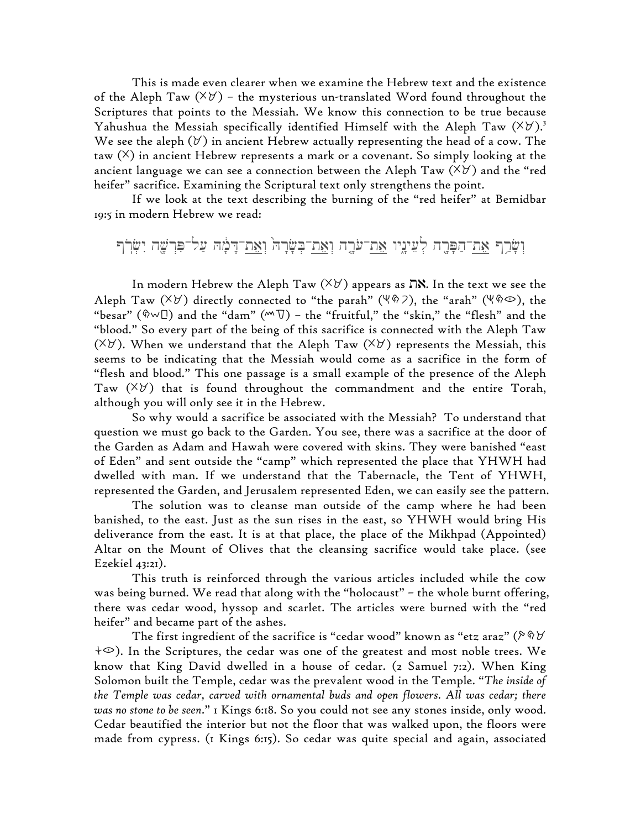This is made even clearer when we examine the Hebrew text and the existence of the Aleph Taw  $(\forall \forall)$  – the mysterious un-translated Word found throughout the Scriptures that points to the Messiah. We know this connection to be true because Yahushua the Messiah specifically identified Himself with the Aleph Taw  $(\forall \forall)$ . We see the aleph  $(\forall)$  in ancient Hebrew actually representing the head of a cow. The taw  $(\times)$  in ancient Hebrew represents a mark or a covenant. So simply looking at the ancient language we can see a connection between the Aleph Taw  $(\forall \forall)$  and the "red heifer" sacrifice. Examining the Scriptural text only strengthens the point.

If we look at the text describing the burning of the "red heifer" at Bemidbar 19:5 in modern Hebrew we read:

וְשֲׂרֶף אֶת־הַפָּרֶה לְעֵינֵיו אֶת־עֹרֶה וְאֵת־בִּשָּׂרָה וְאֵת־דָּמָה עַל־פִּרְשֶׁה יִשְׂרִך

In modern Hebrew the Aleph Taw  $(\forall \forall)$  appears as  $\Box$ . In the text we see the Aleph Taw ( $(\forall \forall)$ ) directly connected to "the parah" ( $(\forall \Diamond 7)$ , the "arah" ( $(\forall \Diamond \odot)$ , the "besar" ( $\Diamond \neg \Box$ ) and the "dam" ( $\neg \Box$ ) - the "fruitful," the "skin," the "flesh" and the "blood." So every part of the being of this sacrifice is connected with the Aleph Taw ( $\forall \forall$ ). When we understand that the Aleph Taw ( $\forall \forall$ ) represents the Messiah, this seems to be indicating that the Messiah would come as a sacrifice in the form of "flesh and blood." This one passage is a small example of the presence of the Aleph Taw  $(\forall \forall)$  that is found throughout the commandment and the entire Torah, although you will only see it in the Hebrew.

So why would a sacrifice be associated with the Messiah? To understand that question we must go back to the Garden. You see, there was a sacrifice at the door of the Garden as Adam and Hawah were covered with skins. They were banished "east of Eden" and sent outside the "camp" which represented the place that YHWH had dwelled with man. If we understand that the Tabernacle, the Tent of YHWH, represented the Garden, and Jerusalem represented Eden, we can easily see the pattern.

The solution was to cleanse man outside of the camp where he had been banished, to the east. Just as the sun rises in the east, so YHWH would bring His deliverance from the east. It is at that place, the place of the Mikhpad (Appointed) Altar on the Mount of Olives that the cleansing sacrifice would take place. (see Ezekiel 43:21).

This truth is reinforced through the various articles included while the cow was being burned. We read that along with the "holocaust" – the whole burnt offering, there was cedar wood, hyssop and scarlet. The articles were burned with the "red heifer" and became part of the ashes.

The first ingredient of the sacrifice is "cedar wood" known as "etz araz" ( $\triangleright \, \hat{\mathbb{V}}$  $\div\heartsuit$ ). In the Scriptures, the cedar was one of the greatest and most noble trees. We know that King David dwelled in a house of cedar. (2 Samuel 7:2). When King Solomon built the Temple, cedar was the prevalent wood in the Temple. "*The inside of the Temple was cedar, carved with ornamental buds and open flowers. All was cedar; there was no stone to be seen*." 1 Kings 6:18. So you could not see any stones inside, only wood. Cedar beautified the interior but not the floor that was walked upon, the floors were made from cypress. (1 Kings 6:15). So cedar was quite special and again, associated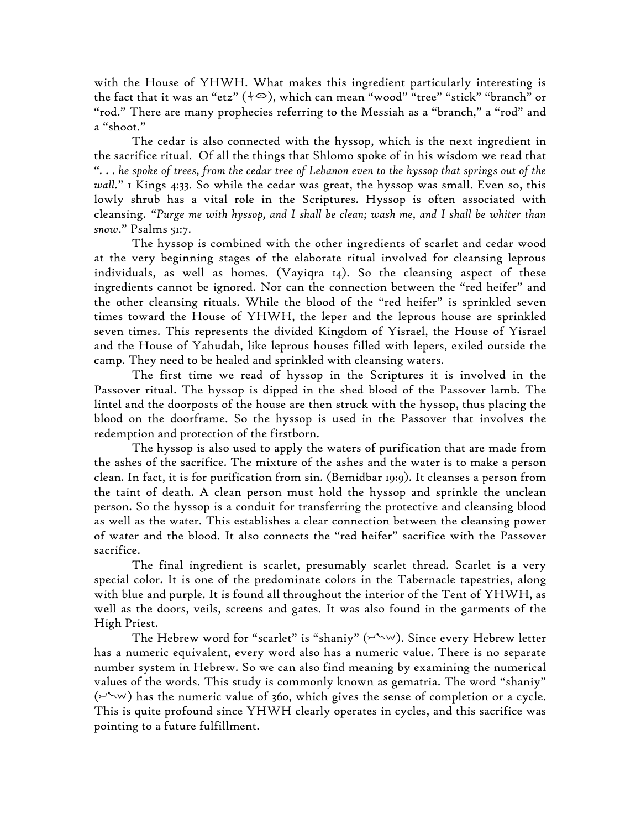with the House of YHWH. What makes this ingredient particularly interesting is the fact that it was an "etz"  $(\dagger \odot)$ , which can mean "wood" "tree" "stick" "branch" or "rod." There are many prophecies referring to the Messiah as a "branch," a "rod" and a "shoot."

The cedar is also connected with the hyssop, which is the next ingredient in the sacrifice ritual. Of all the things that Shlomo spoke of in his wisdom we read that *". . . he spoke of trees, from the cedar tree of Lebanon even to the hyssop that springs out of the wall.*" 1 Kings 4:33. So while the cedar was great, the hyssop was small. Even so, this lowly shrub has a vital role in the Scriptures. Hyssop is often associated with cleansing. "*Purge me with hyssop, and I shall be clean; wash me, and I shall be whiter than snow*." Psalms 51:7.

The hyssop is combined with the other ingredients of scarlet and cedar wood at the very beginning stages of the elaborate ritual involved for cleansing leprous individuals, as well as homes. (Vayiqra 14). So the cleansing aspect of these ingredients cannot be ignored. Nor can the connection between the "red heifer" and the other cleansing rituals. While the blood of the "red heifer" is sprinkled seven times toward the House of YHWH, the leper and the leprous house are sprinkled seven times. This represents the divided Kingdom of Yisrael, the House of Yisrael and the House of Yahudah, like leprous houses filled with lepers, exiled outside the camp. They need to be healed and sprinkled with cleansing waters.

The first time we read of hyssop in the Scriptures it is involved in the Passover ritual. The hyssop is dipped in the shed blood of the Passover lamb. The lintel and the doorposts of the house are then struck with the hyssop, thus placing the blood on the doorframe. So the hyssop is used in the Passover that involves the redemption and protection of the firstborn.

The hyssop is also used to apply the waters of purification that are made from the ashes of the sacrifice. The mixture of the ashes and the water is to make a person clean. In fact, it is for purification from sin. (Bemidbar 19:9). It cleanses a person from the taint of death. A clean person must hold the hyssop and sprinkle the unclean person. So the hyssop is a conduit for transferring the protective and cleansing blood as well as the water. This establishes a clear connection between the cleansing power of water and the blood. It also connects the "red heifer" sacrifice with the Passover sacrifice.

The final ingredient is scarlet, presumably scarlet thread. Scarlet is a very special color. It is one of the predominate colors in the Tabernacle tapestries, along with blue and purple. It is found all throughout the interior of the Tent of YHWH, as well as the doors, veils, screens and gates. It was also found in the garments of the High Priest.

The Hebrew word for "scarlet" is "shaniy"  $(\forall w)$ . Since every Hebrew letter has a numeric equivalent, every word also has a numeric value. There is no separate number system in Hebrew. So we can also find meaning by examining the numerical values of the words. This study is commonly known as gematria. The word "shaniy"  $(\forall w)$  has the numeric value of 360, which gives the sense of completion or a cycle. This is quite profound since YHWH clearly operates in cycles, and this sacrifice was pointing to a future fulfillment.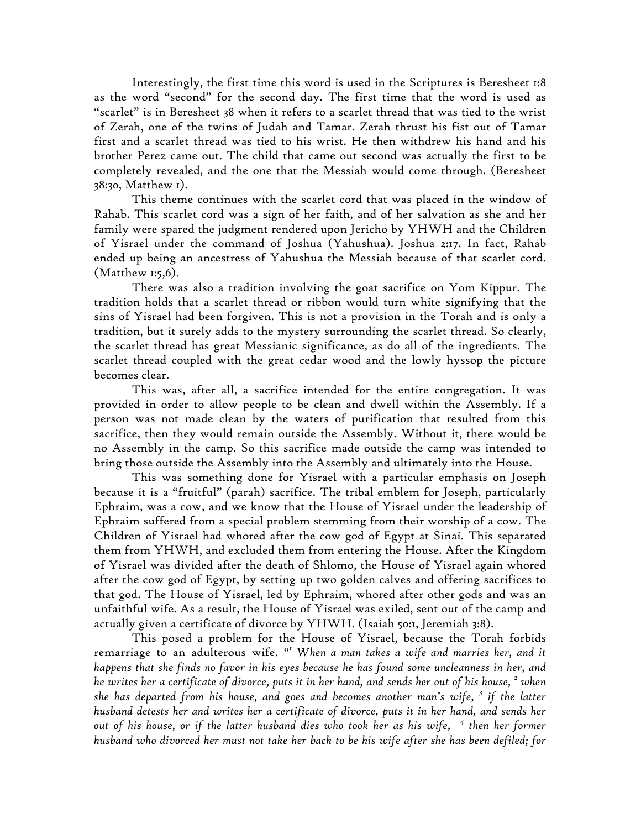Interestingly, the first time this word is used in the Scriptures is Beresheet 1:8 as the word "second" for the second day. The first time that the word is used as "scarlet" is in Beresheet 38 when it refers to a scarlet thread that was tied to the wrist of Zerah, one of the twins of Judah and Tamar. Zerah thrust his fist out of Tamar first and a scarlet thread was tied to his wrist. He then withdrew his hand and his brother Perez came out. The child that came out second was actually the first to be completely revealed, and the one that the Messiah would come through. (Beresheet 38:30, Matthew 1).

This theme continues with the scarlet cord that was placed in the window of Rahab. This scarlet cord was a sign of her faith, and of her salvation as she and her family were spared the judgment rendered upon Jericho by YHWH and the Children of Yisrael under the command of Joshua (Yahushua). Joshua 2:17. In fact, Rahab ended up being an ancestress of Yahushua the Messiah because of that scarlet cord. (Matthew 1:5,6).

There was also a tradition involving the goat sacrifice on Yom Kippur. The tradition holds that a scarlet thread or ribbon would turn white signifying that the sins of Yisrael had been forgiven. This is not a provision in the Torah and is only a tradition, but it surely adds to the mystery surrounding the scarlet thread. So clearly, the scarlet thread has great Messianic significance, as do all of the ingredients. The scarlet thread coupled with the great cedar wood and the lowly hyssop the picture becomes clear.

This was, after all, a sacrifice intended for the entire congregation. It was provided in order to allow people to be clean and dwell within the Assembly. If a person was not made clean by the waters of purification that resulted from this sacrifice, then they would remain outside the Assembly. Without it, there would be no Assembly in the camp. So this sacrifice made outside the camp was intended to bring those outside the Assembly into the Assembly and ultimately into the House.

This was something done for Yisrael with a particular emphasis on Joseph because it is a "fruitful" (parah) sacrifice. The tribal emblem for Joseph, particularly Ephraim, was a cow, and we know that the House of Yisrael under the leadership of Ephraim suffered from a special problem stemming from their worship of a cow. The Children of Yisrael had whored after the cow god of Egypt at Sinai. This separated them from YHWH, and excluded them from entering the House. After the Kingdom of Yisrael was divided after the death of Shlomo, the House of Yisrael again whored after the cow god of Egypt, by setting up two golden calves and offering sacrifices to that god. The House of Yisrael, led by Ephraim, whored after other gods and was an unfaithful wife. As a result, the House of Yisrael was exiled, sent out of the camp and actually given a certificate of divorce by YHWH. (Isaiah 50:1, Jeremiah 3:8).

This posed a problem for the House of Yisrael, because the Torah forbids remarriage to an adulterous wife. " *<sup>1</sup> When a man takes a wife and marries her, and it happens that she finds no favor in his eyes because he has found some uncleanness in her, and he writes her a certificate of divorce, puts it in her hand, and sends her out of his house, <sup>2</sup> when she has departed from his house, and goes and becomes another man's wife, <sup>3</sup> if the latter husband detests her and writes her a certificate of divorce, puts it in her hand, and sends her out of his house, or if the latter husband dies who took her as his wife, <sup>4</sup> then her former husband who divorced her must not take her back to be his wife after she has been defiled; for*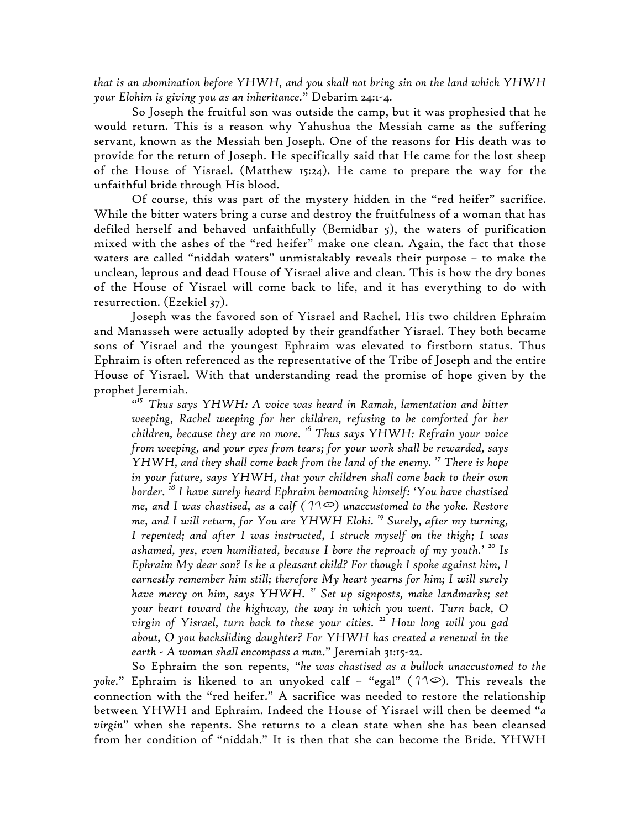*that is an abomination before YHWH, and you shall not bring sin on the land which YHWH your Elohim is giving you as an inheritance.*" Debarim 24:1-4.

So Joseph the fruitful son was outside the camp, but it was prophesied that he would return. This is a reason why Yahushua the Messiah came as the suffering servant, known as the Messiah ben Joseph. One of the reasons for His death was to provide for the return of Joseph. He specifically said that He came for the lost sheep of the House of Yisrael. (Matthew 15:24). He came to prepare the way for the unfaithful bride through His blood.

Of course, this was part of the mystery hidden in the "red heifer" sacrifice. While the bitter waters bring a curse and destroy the fruitfulness of a woman that has defiled herself and behaved unfaithfully (Bemidbar 5), the waters of purification mixed with the ashes of the "red heifer" make one clean. Again, the fact that those waters are called "niddah waters" unmistakably reveals their purpose – to make the unclean, leprous and dead House of Yisrael alive and clean. This is how the dry bones of the House of Yisrael will come back to life, and it has everything to do with resurrection. (Ezekiel 37).

Joseph was the favored son of Yisrael and Rachel. His two children Ephraim and Manasseh were actually adopted by their grandfather Yisrael. They both became sons of Yisrael and the youngest Ephraim was elevated to firstborn status. Thus Ephraim is often referenced as the representative of the Tribe of Joseph and the entire House of Yisrael. With that understanding read the promise of hope given by the prophet Jeremiah.

" *<sup>15</sup> Thus says YHWH: A voice was heard in Ramah, lamentation and bitter weeping, Rachel weeping for her children, refusing to be comforted for her children, because they are no more. <sup>16</sup> Thus says YHWH: Refrain your voice from weeping, and your eyes from tears; for your work shall be rewarded, says YHWH, and they shall come back from the land of the enemy. <sup>17</sup> There is hope in your future, says YHWH, that your children shall come back to their own border. <sup>18</sup> I have surely heard Ephraim bemoaning himself: 'You have chastised me, and I was chastised, as a calf*  $(11\degree)$  unaccustomed to the yoke. Restore *me, and I will return, for You are YHWH Elohi. <sup>19</sup> Surely, after my turning, I repented; and after I was instructed, I struck myself on the thigh; I was ashamed, yes, even humiliated, because I bore the reproach of my youth.' <sup>20</sup> Is Ephraim My dear son? Is he a pleasant child? For though I spoke against him, I earnestly remember him still; therefore My heart yearns for him; I will surely have mercy on him, says YHWH. <sup>21</sup> Set up signposts, make landmarks; set your heart toward the highway, the way in which you went. Turn back, O virgin of Yisrael, turn back to these your cities. <sup>22</sup> How long will you gad about, O you backsliding daughter? For YHWH has created a renewal in the earth - A woman shall encompass a man*." Jeremiah 31:15-22.

So Ephraim the son repents, "*he was chastised as a bullock unaccustomed to the yoke.*" Ephraim is likened to an unyoked calf - "egal" ( $10^{\circ}$ ). This reveals the connection with the "red heifer." A sacrifice was needed to restore the relationship between YHWH and Ephraim. Indeed the House of Yisrael will then be deemed "*a virgin*" when she repents. She returns to a clean state when she has been cleansed from her condition of "niddah." It is then that she can become the Bride. YHWH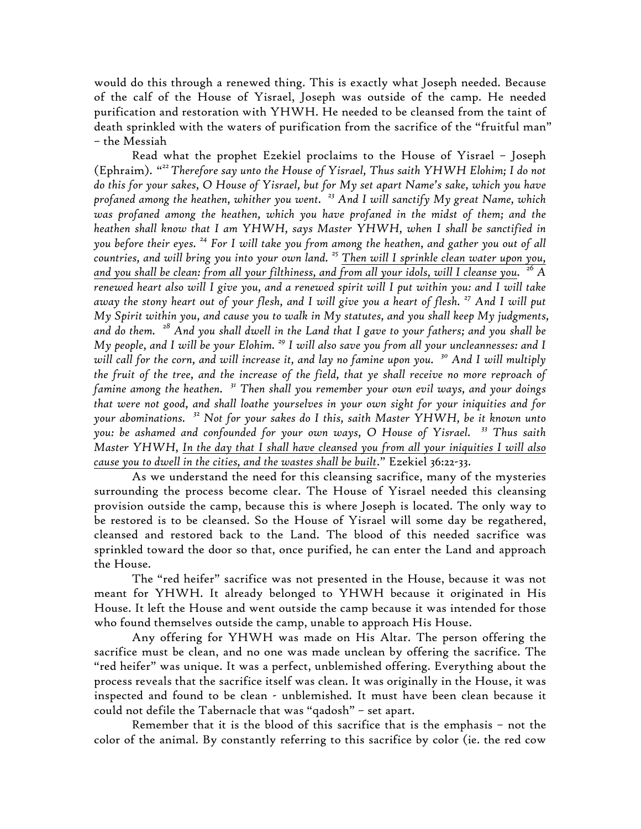would do this through a renewed thing. This is exactly what Joseph needed. Because of the calf of the House of Yisrael, Joseph was outside of the camp. He needed purification and restoration with YHWH. He needed to be cleansed from the taint of death sprinkled with the waters of purification from the sacrifice of the "fruitful man" – the Messiah

Read what the prophet Ezekiel proclaims to the House of Yisrael – Joseph (Ephraim). " *22Therefore say unto the House of Yisrael, Thus saith YHWH Elohim; I do not do this for your sakes, O House of Yisrael, but for My set apart Name's sake, which you have profaned among the heathen, whither you went. <sup>23</sup> And I will sanctify My great Name, which was profaned among the heathen, which you have profaned in the midst of them; and the heathen shall know that I am YHWH, says Master YHWH, when I shall be sanctified in you before their eyes. <sup>24</sup> For I will take you from among the heathen, and gather you out of all countries, and will bring you into your own land. <sup>25</sup> Then will I sprinkle clean water upon you, and you shall be clean: from all your filthiness, and from all your idols, will I cleanse you. <sup>26</sup> A renewed heart also will I give you, and a renewed spirit will I put within you: and I will take away the stony heart out of your flesh, and I will give you a heart of flesh. <sup>27</sup> And I will put My Spirit within you, and cause you to walk in My statutes, and you shall keep My judgments, and do them. <sup>28</sup> And you shall dwell in the Land that I gave to your fathers; and you shall be My people, and I will be your Elohim. <sup>29</sup> I will also save you from all your uncleannesses: and I will call for the corn, and will increase it, and lay no famine upon you. <sup>30</sup> And I will multiply the fruit of the tree, and the increase of the field, that ye shall receive no more reproach of famine among the heathen. <sup>31</sup> Then shall you remember your own evil ways, and your doings that were not good, and shall loathe yourselves in your own sight for your iniquities and for your abominations. <sup>32</sup> Not for your sakes do I this, saith Master YHWH, be it known unto you: be ashamed and confounded for your own ways, O House of Yisrael. <sup>33</sup> Thus saith Master YHWH, In the day that I shall have cleansed you from all your iniquities I will also cause you to dwell in the cities, and the wastes shall be built*." Ezekiel 36:22-33.

As we understand the need for this cleansing sacrifice, many of the mysteries surrounding the process become clear. The House of Yisrael needed this cleansing provision outside the camp, because this is where Joseph is located. The only way to be restored is to be cleansed. So the House of Yisrael will some day be regathered, cleansed and restored back to the Land. The blood of this needed sacrifice was sprinkled toward the door so that, once purified, he can enter the Land and approach the House.

The "red heifer" sacrifice was not presented in the House, because it was not meant for YHWH. It already belonged to YHWH because it originated in His House. It left the House and went outside the camp because it was intended for those who found themselves outside the camp, unable to approach His House.

Any offering for YHWH was made on His Altar. The person offering the sacrifice must be clean, and no one was made unclean by offering the sacrifice. The "red heifer" was unique. It was a perfect, unblemished offering. Everything about the process reveals that the sacrifice itself was clean. It was originally in the House, it was inspected and found to be clean - unblemished. It must have been clean because it could not defile the Tabernacle that was "qadosh" – set apart.

Remember that it is the blood of this sacrifice that is the emphasis – not the color of the animal. By constantly referring to this sacrifice by color (ie. the red cow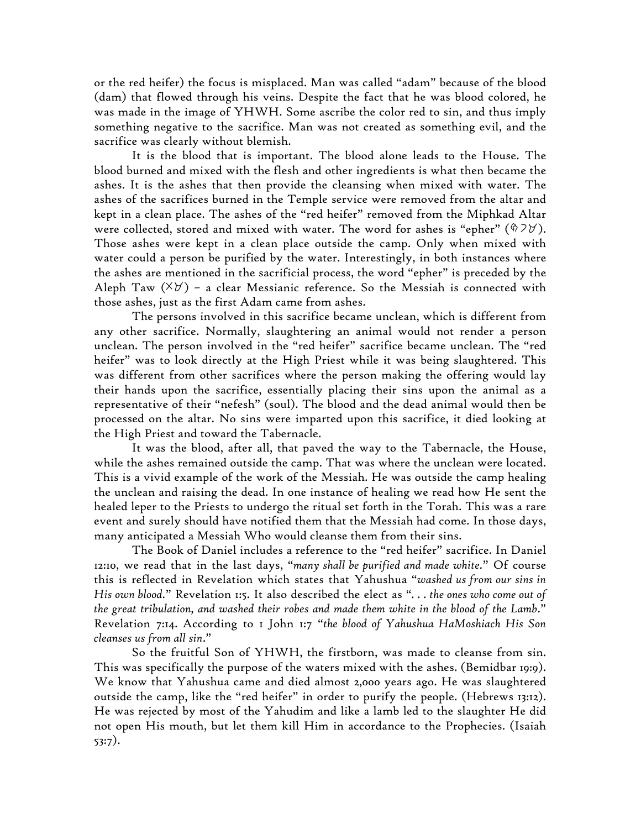or the red heifer) the focus is misplaced. Man was called "adam" because of the blood (dam) that flowed through his veins. Despite the fact that he was blood colored, he was made in the image of YHWH. Some ascribe the color red to sin, and thus imply something negative to the sacrifice. Man was not created as something evil, and the sacrifice was clearly without blemish.

It is the blood that is important. The blood alone leads to the House. The blood burned and mixed with the flesh and other ingredients is what then became the ashes. It is the ashes that then provide the cleansing when mixed with water. The ashes of the sacrifices burned in the Temple service were removed from the altar and kept in a clean place. The ashes of the "red heifer" removed from the Miphkad Altar were collected, stored and mixed with water. The word for ashes is "epher" ( $\sqrt[6]{2}\frac{y}{r}$ ). Those ashes were kept in a clean place outside the camp. Only when mixed with water could a person be purified by the water. Interestingly, in both instances where the ashes are mentioned in the sacrificial process, the word "epher" is preceded by the Aleph Taw  $(\forall \forall)$  - a clear Messianic reference. So the Messiah is connected with those ashes, just as the first Adam came from ashes.

The persons involved in this sacrifice became unclean, which is different from any other sacrifice. Normally, slaughtering an animal would not render a person unclean. The person involved in the "red heifer" sacrifice became unclean. The "red heifer" was to look directly at the High Priest while it was being slaughtered. This was different from other sacrifices where the person making the offering would lay their hands upon the sacrifice, essentially placing their sins upon the animal as a representative of their "nefesh" (soul). The blood and the dead animal would then be processed on the altar. No sins were imparted upon this sacrifice, it died looking at the High Priest and toward the Tabernacle.

It was the blood, after all, that paved the way to the Tabernacle, the House, while the ashes remained outside the camp. That was where the unclean were located. This is a vivid example of the work of the Messiah. He was outside the camp healing the unclean and raising the dead. In one instance of healing we read how He sent the healed leper to the Priests to undergo the ritual set forth in the Torah. This was a rare event and surely should have notified them that the Messiah had come. In those days, many anticipated a Messiah Who would cleanse them from their sins.

The Book of Daniel includes a reference to the "red heifer" sacrifice. In Daniel 12:10, we read that in the last days, "*many shall be purified and made white.*" Of course this is reflected in Revelation which states that Yahushua "*washed us from our sins in His own blood.*" Revelation 1:5. It also described the elect as "*. . . the ones who come out of the great tribulation, and washed their robes and made them white in the blood of the Lamb*." Revelation 7:14. According to 1 John 1:7 "*the blood of Yahushua HaMoshiach His Son cleanses us from all sin*."

So the fruitful Son of YHWH, the firstborn, was made to cleanse from sin. This was specifically the purpose of the waters mixed with the ashes. (Bemidbar 19:9). We know that Yahushua came and died almost 2,000 years ago. He was slaughtered outside the camp, like the "red heifer" in order to purify the people. (Hebrews 13:12). He was rejected by most of the Yahudim and like a lamb led to the slaughter He did not open His mouth, but let them kill Him in accordance to the Prophecies. (Isaiah 53:7).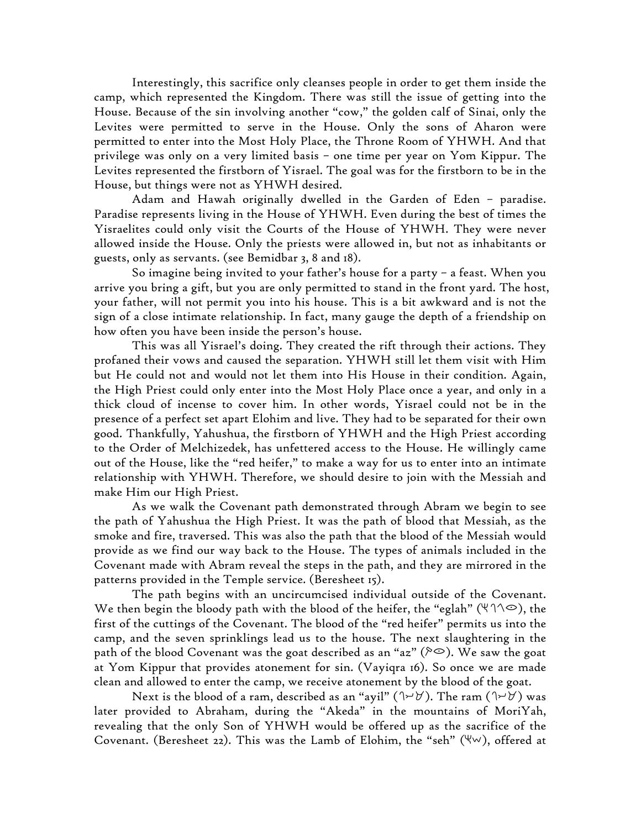Interestingly, this sacrifice only cleanses people in order to get them inside the camp, which represented the Kingdom. There was still the issue of getting into the House. Because of the sin involving another "cow," the golden calf of Sinai, only the Levites were permitted to serve in the House. Only the sons of Aharon were permitted to enter into the Most Holy Place, the Throne Room of YHWH. And that privilege was only on a very limited basis – one time per year on Yom Kippur. The Levites represented the firstborn of Yisrael. The goal was for the firstborn to be in the House, but things were not as YHWH desired.

Adam and Hawah originally dwelled in the Garden of Eden – paradise. Paradise represents living in the House of YHWH. Even during the best of times the Yisraelites could only visit the Courts of the House of YHWH. They were never allowed inside the House. Only the priests were allowed in, but not as inhabitants or guests, only as servants. (see Bemidbar 3, 8 and 18).

So imagine being invited to your father's house for a party – a feast. When you arrive you bring a gift, but you are only permitted to stand in the front yard. The host, your father, will not permit you into his house. This is a bit awkward and is not the sign of a close intimate relationship. In fact, many gauge the depth of a friendship on how often you have been inside the person's house.

This was all Yisrael's doing. They created the rift through their actions. They profaned their vows and caused the separation. YHWH still let them visit with Him but He could not and would not let them into His House in their condition. Again, the High Priest could only enter into the Most Holy Place once a year, and only in a thick cloud of incense to cover him. In other words, Yisrael could not be in the presence of a perfect set apart Elohim and live. They had to be separated for their own good. Thankfully, Yahushua, the firstborn of YHWH and the High Priest according to the Order of Melchizedek, has unfettered access to the House. He willingly came out of the House, like the "red heifer," to make a way for us to enter into an intimate relationship with YHWH. Therefore, we should desire to join with the Messiah and make Him our High Priest.

As we walk the Covenant path demonstrated through Abram we begin to see the path of Yahushua the High Priest. It was the path of blood that Messiah, as the smoke and fire, traversed. This was also the path that the blood of the Messiah would provide as we find our way back to the House. The types of animals included in the Covenant made with Abram reveal the steps in the path, and they are mirrored in the patterns provided in the Temple service. (Beresheet 15).

The path begins with an uncircumcised individual outside of the Covenant. We then begin the bloody path with the blood of the heifer, the "eglah" ( $\forall \land \circ$ ), the first of the cuttings of the Covenant. The blood of the "red heifer" permits us into the camp, and the seven sprinklings lead us to the house. The next slaughtering in the path of the blood Covenant was the goat described as an "az" ( $\approx$ ). We saw the goat at Yom Kippur that provides atonement for sin. (Vayiqra 16). So once we are made clean and allowed to enter the camp, we receive atonement by the blood of the goat.

Next is the blood of a ram, described as an "ayil" ( $\forall \forall$ ). The ram ( $\forall \forall$ ) was later provided to Abraham, during the "Akeda" in the mountains of MoriYah, revealing that the only Son of YHWH would be offered up as the sacrifice of the Covenant. (Beresheet 22). This was the Lamb of Elohim, the "seh" ( $\forall w$ ), offered at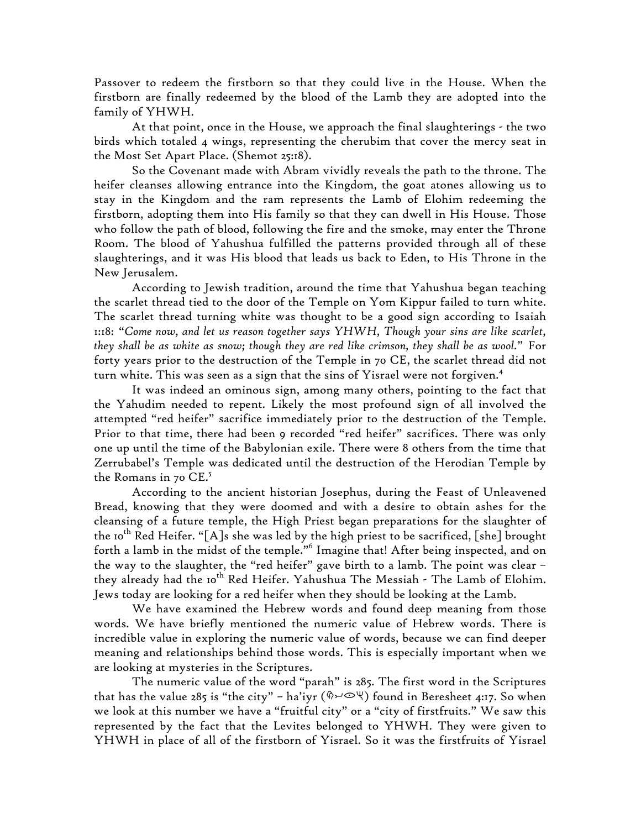Passover to redeem the firstborn so that they could live in the House. When the firstborn are finally redeemed by the blood of the Lamb they are adopted into the family of YHWH.

At that point, once in the House, we approach the final slaughterings - the two birds which totaled 4 wings, representing the cherubim that cover the mercy seat in the Most Set Apart Place. (Shemot 25:18).

So the Covenant made with Abram vividly reveals the path to the throne. The heifer cleanses allowing entrance into the Kingdom, the goat atones allowing us to stay in the Kingdom and the ram represents the Lamb of Elohim redeeming the firstborn, adopting them into His family so that they can dwell in His House. Those who follow the path of blood, following the fire and the smoke, may enter the Throne Room. The blood of Yahushua fulfilled the patterns provided through all of these slaughterings, and it was His blood that leads us back to Eden, to His Throne in the New Jerusalem.

According to Jewish tradition, around the time that Yahushua began teaching the scarlet thread tied to the door of the Temple on Yom Kippur failed to turn white. The scarlet thread turning white was thought to be a good sign according to Isaiah 1:18: "*Come now, and let us reason together says YHWH, Though your sins are like scarlet, they shall be as white as snow; though they are red like crimson, they shall be as wool.*" For forty years prior to the destruction of the Temple in 70 CE, the scarlet thread did not turn white. This was seen as a sign that the sins of Yisrael were not forgiven.<sup>4</sup>

It was indeed an ominous sign, among many others, pointing to the fact that the Yahudim needed to repent. Likely the most profound sign of all involved the attempted "red heifer" sacrifice immediately prior to the destruction of the Temple. Prior to that time, there had been 9 recorded "red heifer" sacrifices. There was only one up until the time of the Babylonian exile. There were 8 others from the time that Zerrubabel's Temple was dedicated until the destruction of the Herodian Temple by the Romans in 70  $CE.^5$ 

According to the ancient historian Josephus, during the Feast of Unleavened Bread, knowing that they were doomed and with a desire to obtain ashes for the cleansing of a future temple, the High Priest began preparations for the slaughter of the 10<sup>th</sup> Red Heifer. "[A]s she was led by the high priest to be sacrificed, [she] brought forth a lamb in the midst of the temple."<sup>6</sup> Imagine that! After being inspected, and on the way to the slaughter, the "red heifer" gave birth to a lamb. The point was clear – they already had the 10<sup>th</sup> Red Heifer. Yahushua The Messiah - The Lamb of Elohim. Jews today are looking for a red heifer when they should be looking at the Lamb.

We have examined the Hebrew words and found deep meaning from those words. We have briefly mentioned the numeric value of Hebrew words. There is incredible value in exploring the numeric value of words, because we can find deeper meaning and relationships behind those words. This is especially important when we are looking at mysteries in the Scriptures.

The numeric value of the word "parah" is 285. The first word in the Scriptures that has the value 285 is "the city" – ha'iyr ( $\Diamond \rightarrow \Diamond \forall$ ) found in Beresheet 4:17. So when we look at this number we have a "fruitful city" or a "city of firstfruits." We saw this represented by the fact that the Levites belonged to YHWH. They were given to YHWH in place of all of the firstborn of Yisrael. So it was the firstfruits of Yisrael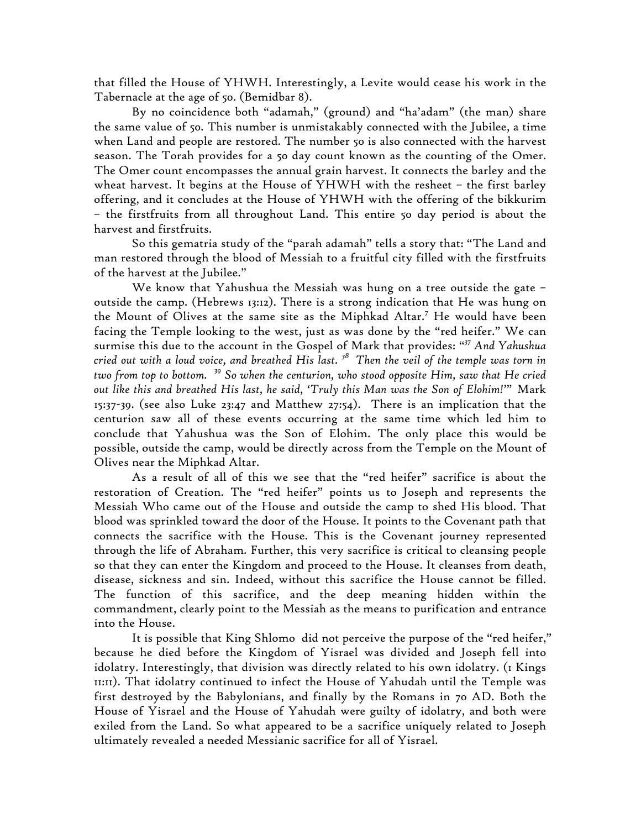that filled the House of YHWH. Interestingly, a Levite would cease his work in the Tabernacle at the age of 50. (Bemidbar 8).

By no coincidence both "adamah," (ground) and "ha'adam" (the man) share the same value of 50. This number is unmistakably connected with the Jubilee, a time when Land and people are restored. The number 50 is also connected with the harvest season. The Torah provides for a 50 day count known as the counting of the Omer. The Omer count encompasses the annual grain harvest. It connects the barley and the wheat harvest. It begins at the House of YHWH with the resheet – the first barley offering, and it concludes at the House of YHWH with the offering of the bikkurim – the firstfruits from all throughout Land. This entire 50 day period is about the harvest and firstfruits.

So this gematria study of the "parah adamah" tells a story that: "The Land and man restored through the blood of Messiah to a fruitful city filled with the firstfruits of the harvest at the Jubilee."

We know that Yahushua the Messiah was hung on a tree outside the gate – outside the camp. (Hebrews 13:12). There is a strong indication that He was hung on the Mount of Olives at the same site as the Miphkad Altar. <sup>7</sup> He would have been facing the Temple looking to the west, just as was done by the "red heifer." We can surmise this due to the account in the Gospel of Mark that provides: " *<sup>37</sup> And Yahushua cried out with a loud voice, and breathed His last. <sup>38</sup> Then the veil of the temple was torn in two from top to bottom. <sup>39</sup> So when the centurion, who stood opposite Him, saw that He cried out like this and breathed His last, he said, 'Truly this Man was the Son of Elohim!'*" Mark 15:37-39. (see also Luke 23:47 and Matthew 27:54). There is an implication that the centurion saw all of these events occurring at the same time which led him to conclude that Yahushua was the Son of Elohim. The only place this would be possible, outside the camp, would be directly across from the Temple on the Mount of Olives near the Miphkad Altar.

As a result of all of this we see that the "red heifer" sacrifice is about the restoration of Creation. The "red heifer" points us to Joseph and represents the Messiah Who came out of the House and outside the camp to shed His blood. That blood was sprinkled toward the door of the House. It points to the Covenant path that connects the sacrifice with the House. This is the Covenant journey represented through the life of Abraham. Further, this very sacrifice is critical to cleansing people so that they can enter the Kingdom and proceed to the House. It cleanses from death, disease, sickness and sin. Indeed, without this sacrifice the House cannot be filled. The function of this sacrifice, and the deep meaning hidden within the commandment, clearly point to the Messiah as the means to purification and entrance into the House.

It is possible that King Shlomo did not perceive the purpose of the "red heifer," because he died before the Kingdom of Yisrael was divided and Joseph fell into idolatry. Interestingly, that division was directly related to his own idolatry. (1 Kings 11:11). That idolatry continued to infect the House of Yahudah until the Temple was first destroyed by the Babylonians, and finally by the Romans in 70 AD. Both the House of Yisrael and the House of Yahudah were guilty of idolatry, and both were exiled from the Land. So what appeared to be a sacrifice uniquely related to Joseph ultimately revealed a needed Messianic sacrifice for all of Yisrael.